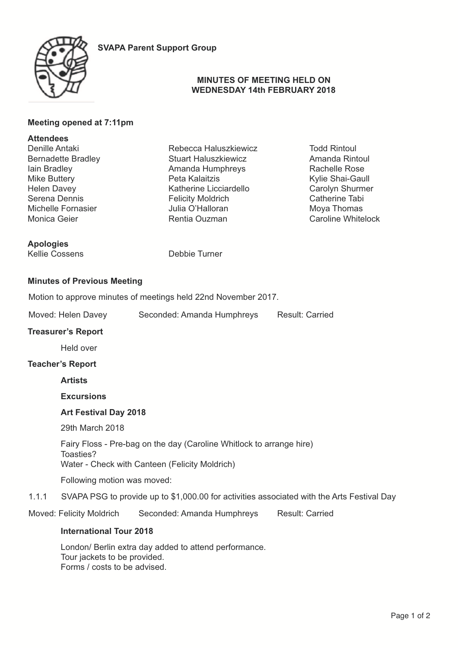



### **MINUTES OF MEETING HELD ON WEDNESDAY 14th FEBRUARY 2018**

# **Meeting opened at 7:11pm**

# **Attendees**

Denille Antaki Bernadette Bradley Iain Bradley Mike Buttery Helen Davey Serena Dennis Michelle Fornasier Monica Geier

**Apologies** Kellie Cossens Debbie Turner

Stuart Haluszkiewicz Amanda Humphreys Peta Kalaitzis Katherine Licciardello Felicity Moldrich Julia O'Halloran Rentia Ouzman

Rebecca Haluszkiewicz

Todd Rintoul Amanda Rintoul Rachelle Rose Kylie Shai-Gaull Carolyn Shurmer Catherine Tabi Moya Thomas Caroline Whitelock

# **Minutes of Previous Meeting**

Motion to approve minutes of meetings held 22nd November 2017.

Moved: Helen Davey Seconded: Amanda Humphreys Result: Carried

#### **Treasurer's Report**

Held over

#### **Teacher's Report**

#### **Artists**

**Excursions** 

### **Art Festival Day 2018**

29th March 2018

Fairy Floss - Pre-bag on the day (Caroline Whitlock to arrange hire) Toasties? Water - Check with Canteen (Felicity Moldrich)

Following motion was moved:

1.1.1 SVAPA PSG to provide up to \$1,000.00 for activities associated with the Arts Festival Day

Moved: Felicity Moldrich Seconded: Amanda Humphreys Result: Carried

### **International Tour 2018**

London/ Berlin extra day added to attend performance. Tour jackets to be provided. Forms / costs to be advised.